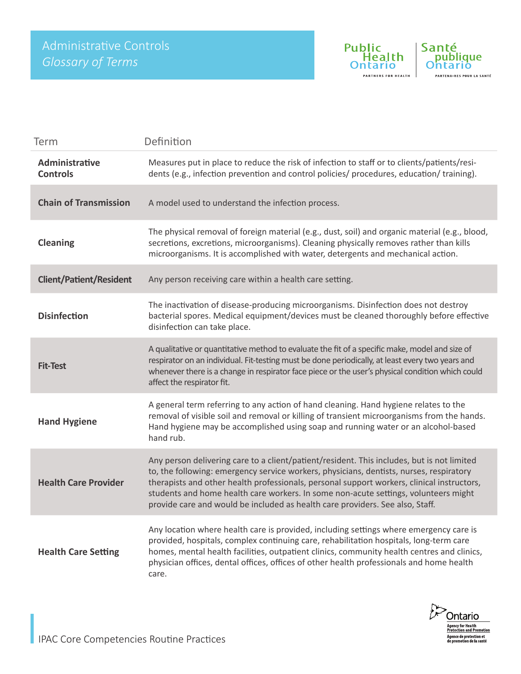

| Term                              | Definition                                                                                                                                                                                                                                                                                                                                                                                                                                                  |
|-----------------------------------|-------------------------------------------------------------------------------------------------------------------------------------------------------------------------------------------------------------------------------------------------------------------------------------------------------------------------------------------------------------------------------------------------------------------------------------------------------------|
| Administrative<br><b>Controls</b> | Measures put in place to reduce the risk of infection to staff or to clients/patients/resi-<br>dents (e.g., infection prevention and control policies/ procedures, education/ training).                                                                                                                                                                                                                                                                    |
| <b>Chain of Transmission</b>      | A model used to understand the infection process.                                                                                                                                                                                                                                                                                                                                                                                                           |
| <b>Cleaning</b>                   | The physical removal of foreign material (e.g., dust, soil) and organic material (e.g., blood,<br>secretions, excretions, microorganisms). Cleaning physically removes rather than kills<br>microorganisms. It is accomplished with water, detergents and mechanical action.                                                                                                                                                                                |
| <b>Client/Patient/Resident</b>    | Any person receiving care within a health care setting.                                                                                                                                                                                                                                                                                                                                                                                                     |
| <b>Disinfection</b>               | The inactivation of disease-producing microorganisms. Disinfection does not destroy<br>bacterial spores. Medical equipment/devices must be cleaned thoroughly before effective<br>disinfection can take place.                                                                                                                                                                                                                                              |
| <b>Fit-Test</b>                   | A qualitative or quantitative method to evaluate the fit of a specific make, model and size of<br>respirator on an individual. Fit-testing must be done periodically, at least every two years and<br>whenever there is a change in respirator face piece or the user's physical condition which could<br>affect the respirator fit.                                                                                                                        |
| <b>Hand Hygiene</b>               | A general term referring to any action of hand cleaning. Hand hygiene relates to the<br>removal of visible soil and removal or killing of transient microorganisms from the hands.<br>Hand hygiene may be accomplished using soap and running water or an alcohol-based<br>hand rub.                                                                                                                                                                        |
| <b>Health Care Provider</b>       | Any person delivering care to a client/patient/resident. This includes, but is not limited<br>to, the following: emergency service workers, physicians, dentists, nurses, respiratory<br>therapists and other health professionals, personal support workers, clinical instructors,<br>students and home health care workers. In some non-acute settings, volunteers might<br>provide care and would be included as health care providers. See also, Staff. |
| <b>Health Care Setting</b>        | Any location where health care is provided, including settings where emergency care is<br>provided, hospitals, complex continuing care, rehabilitation hospitals, long-term care<br>homes, mental health facilities, outpatient clinics, community health centres and clinics,<br>physician offices, dental offices, offices of other health professionals and home health<br>care.                                                                         |

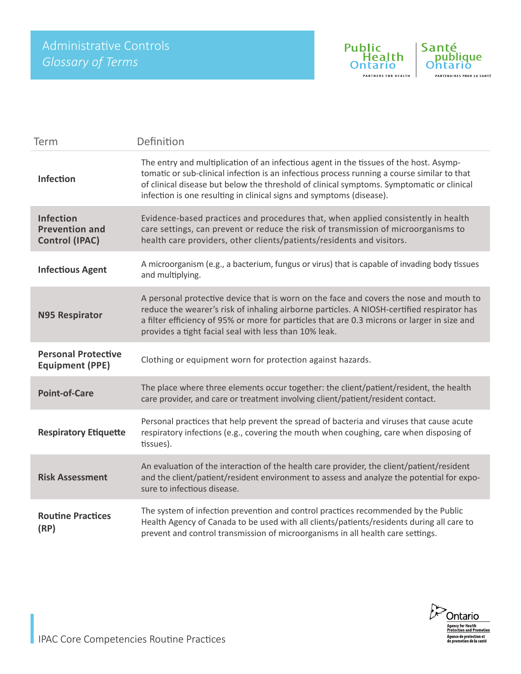

| Term                                                               | Definition                                                                                                                                                                                                                                                                                                                                                 |
|--------------------------------------------------------------------|------------------------------------------------------------------------------------------------------------------------------------------------------------------------------------------------------------------------------------------------------------------------------------------------------------------------------------------------------------|
| Infection                                                          | The entry and multiplication of an infectious agent in the tissues of the host. Asymp-<br>tomatic or sub-clinical infection is an infectious process running a course similar to that<br>of clinical disease but below the threshold of clinical symptoms. Symptomatic or clinical<br>infection is one resulting in clinical signs and symptoms (disease). |
| <b>Infection</b><br><b>Prevention and</b><br><b>Control (IPAC)</b> | Evidence-based practices and procedures that, when applied consistently in health<br>care settings, can prevent or reduce the risk of transmission of microorganisms to<br>health care providers, other clients/patients/residents and visitors.                                                                                                           |
| <b>Infectious Agent</b>                                            | A microorganism (e.g., a bacterium, fungus or virus) that is capable of invading body tissues<br>and multiplying.                                                                                                                                                                                                                                          |
| <b>N95 Respirator</b>                                              | A personal protective device that is worn on the face and covers the nose and mouth to<br>reduce the wearer's risk of inhaling airborne particles. A NIOSH-certified respirator has<br>a filter efficiency of 95% or more for particles that are 0.3 microns or larger in size and<br>provides a tight facial seal with less than 10% leak.                |
| <b>Personal Protective</b><br><b>Equipment (PPE)</b>               | Clothing or equipment worn for protection against hazards.                                                                                                                                                                                                                                                                                                 |
| <b>Point-of-Care</b>                                               | The place where three elements occur together: the client/patient/resident, the health<br>care provider, and care or treatment involving client/patient/resident contact.                                                                                                                                                                                  |
| <b>Respiratory Etiquette</b>                                       | Personal practices that help prevent the spread of bacteria and viruses that cause acute<br>respiratory infections (e.g., covering the mouth when coughing, care when disposing of<br>tissues).                                                                                                                                                            |
| <b>Risk Assessment</b>                                             | An evaluation of the interaction of the health care provider, the client/patient/resident<br>and the client/patient/resident environment to assess and analyze the potential for expo-<br>sure to infectious disease.                                                                                                                                      |
| <b>Routine Practices</b><br>(RP)                                   | The system of infection prevention and control practices recommended by the Public<br>Health Agency of Canada to be used with all clients/patients/residents during all care to<br>prevent and control transmission of microorganisms in all health care settings.                                                                                         |